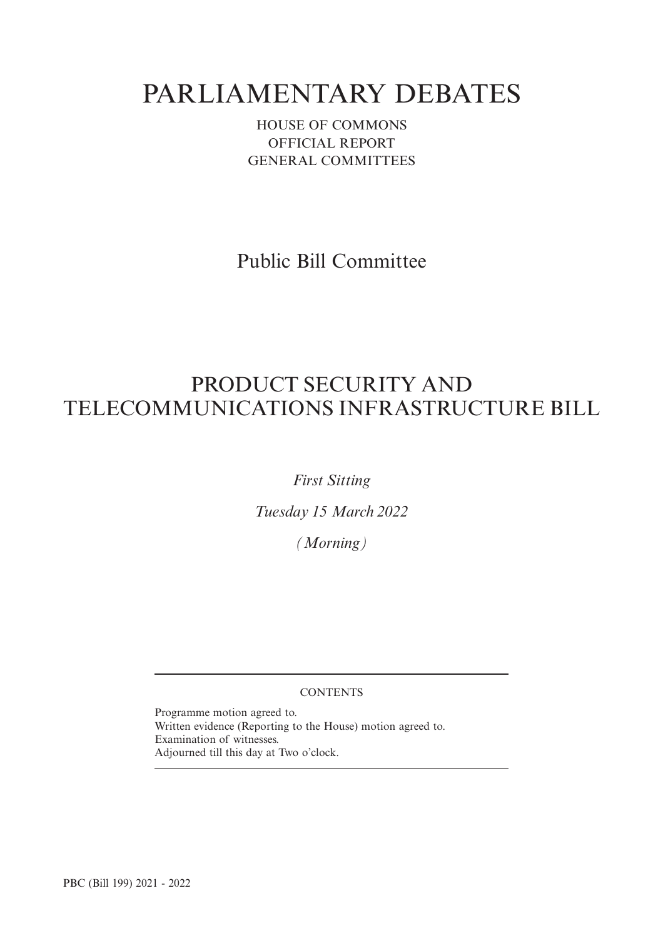# PARLIAMENTARY DEBATES

HOUSE OF COMMONS OFFICIAL REPORT GENERAL COMMITTEES

Public Bill Committee

# PRODUCT SECURITY AND TELECOMMUNICATIONS INFRASTRUCTURE BILL

*First Sitting*

*Tuesday 15 March 2022*

*(Morning)*

### **CONTENTS**

Programme motion agreed to. Written evidence (Reporting to the House) motion agreed to. Examination of witnesses. Adjourned till this day at Two o'clock.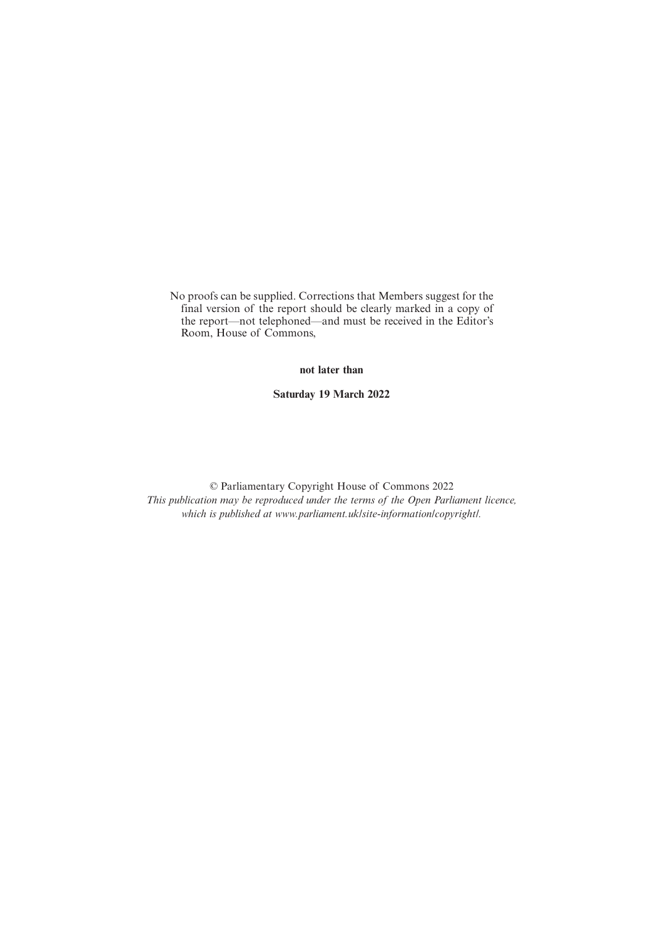No proofs can be supplied. Corrections that Members suggest for the final version of the report should be clearly marked in a copy of the report—not telephoned—and must be received in the Editor's Room, House of Commons,

**not later than**

**Saturday 19 March 2022**

© Parliamentary Copyright House of Commons 2022 *This publication may be reproduced under the terms of the Open Parliament licence, which is published at www.parliament.uk/site-information/copyright/.*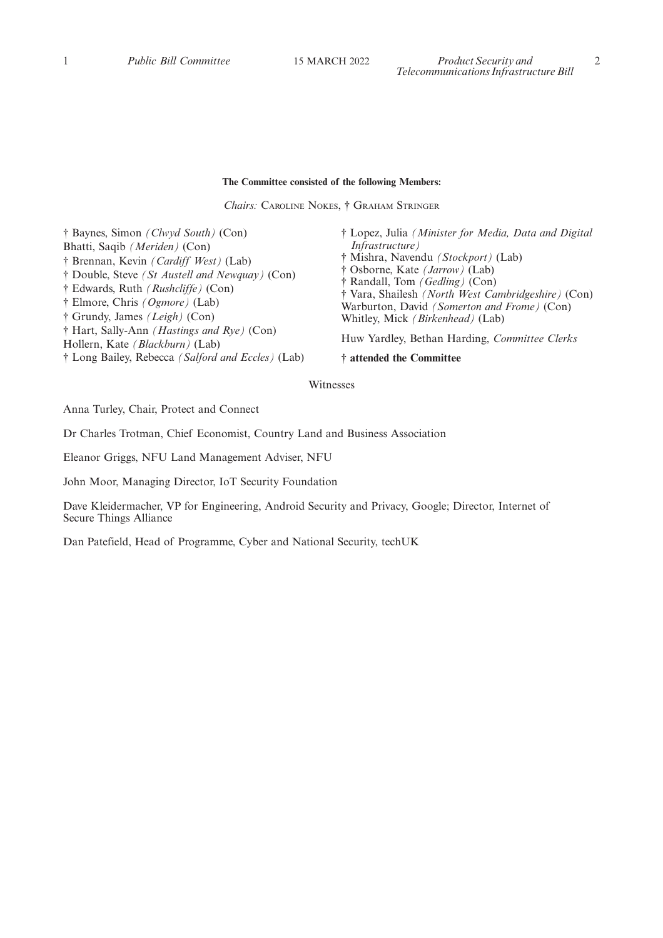#### **The Committee consisted of the following Members:**

*Chairs:* CAROLINE NOKES, † GRAHAM STRINGER

† Baynes, Simon *(Clwyd South)* (Con) Bhatti, Saqib *(Meriden)* (Con) † Brennan, Kevin *(Cardiff West)* (Lab) † Double, Steve *(St Austell and Newquay)* (Con) † Edwards, Ruth *(Rushcliffe)* (Con) † Elmore, Chris *(Ogmore)* (Lab) † Grundy, James *(Leigh)* (Con) † Hart, Sally-Ann *(Hastings and Rye)* (Con) Hollern, Kate *(Blackburn)* (Lab) † Long Bailey, Rebecca *(Salford and Eccles)* (Lab) † Lopez, Julia *(Minister for Media, Data and Digital Infrastructure)* † Mishra, Navendu *(Stockport)* (Lab) † Osborne, Kate *(Jarrow)* (Lab) † Randall, Tom *(Gedling)* (Con) † Vara, Shailesh *(North West Cambridgeshire)* (Con) Warburton, David *(Somerton and Frome)* (Con) Whitley, Mick *(Birkenhead)* (Lab) Huw Yardley, Bethan Harding, *Committee Clerks* **† attended the Committee**

Witnesses

Anna Turley, Chair, Protect and Connect

Dr Charles Trotman, Chief Economist, Country Land and Business Association

Eleanor Griggs, NFU Land Management Adviser, NFU

John Moor, Managing Director, IoT Security Foundation

Dave Kleidermacher, VP for Engineering, Android Security and Privacy, Google; Director, Internet of Secure Things Alliance

Dan Patefield, Head of Programme, Cyber and National Security, techUK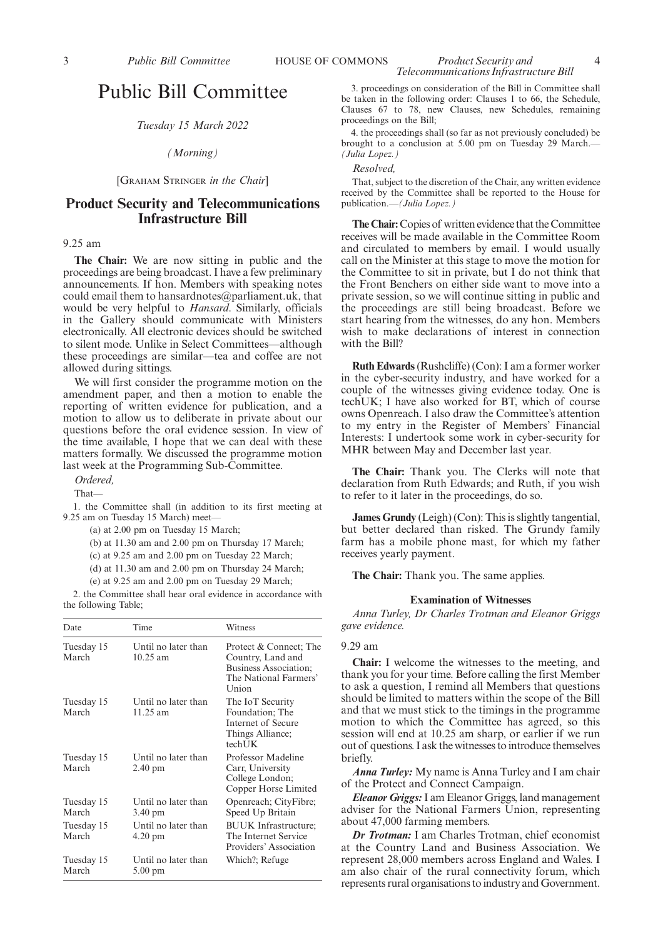#### *Tuesday 15 March 2022*

#### *(Morning)*

[GRAHAM STRINGER *in the Chair*]

## **Product Security and Telecommunications Infrastructure Bill**

#### 9.25 am

**The Chair:** We are now sitting in public and the proceedings are being broadcast. I have a few preliminary announcements. If hon. Members with speaking notes could email them to hansardnotes@parliament.uk, that would be very helpful to *Hansard*. Similarly, officials in the Gallery should communicate with Ministers electronically. All electronic devices should be switched to silent mode. Unlike in Select Committees—although these proceedings are similar—tea and coffee are not allowed during sittings.

We will first consider the programme motion on the amendment paper, and then a motion to enable the reporting of written evidence for publication, and a motion to allow us to deliberate in private about our questions before the oral evidence session. In view of the time available, I hope that we can deal with these matters formally. We discussed the programme motion last week at the Programming Sub-Committee.

*Ordered,*

That—

1. the Committee shall (in addition to its first meeting at 9.25 am on Tuesday 15 March) meet—

(a) at 2.00 pm on Tuesday 15 March;

(b) at 11.30 am and 2.00 pm on Thursday 17 March;

(c) at 9.25 am and 2.00 pm on Tuesday 22 March;

(d) at 11.30 am and 2.00 pm on Thursday 24 March;

(e) at 9.25 am and 2.00 pm on Tuesday 29 March;

2. the Committee shall hear oral evidence in accordance with the following Table;

| Date                | Time                                      | Witness                                                                                                       |
|---------------------|-------------------------------------------|---------------------------------------------------------------------------------------------------------------|
| Tuesday 15<br>March | Until no later than<br>$10.25 \text{ am}$ | Protect & Connect; The<br>Country, Land and<br><b>Business Association;</b><br>The National Farmers'<br>Union |
| Tuesday 15<br>March | Until no later than<br>$11.25 \text{ am}$ | The IoT Security<br>Foundation; The<br>Internet of Secure<br>Things Alliance;<br>techUK                       |
| Tuesday 15<br>March | Until no later than<br>$2.40 \text{ pm}$  | Professor Madeline<br>Carr, University<br>College London;<br>Copper Horse Limited                             |
| Tuesday 15<br>March | Until no later than<br>$3.40 \text{ pm}$  | Openreach; CityFibre;<br>Speed Up Britain                                                                     |
| Tuesday 15<br>March | Until no later than<br>$4.20 \text{ pm}$  | <b>BUUK</b> Infrastructure:<br>The Internet Service<br>Providers' Association                                 |
| Tuesday 15<br>March | Until no later than<br>$5.00 \text{ pm}$  | Which?; Refuge                                                                                                |

3. proceedings on consideration of the Bill in Committee shall be taken in the following order: Clauses 1 to 66, the Schedule, Clauses 67 to 78, new Clauses, new Schedules, remaining proceedings on the Bill;

4. the proceedings shall (so far as not previously concluded) be brought to a conclusion at 5.00 pm on Tuesday 29 March.— *(Julia Lopez.)*

*Resolved,*

That, subject to the discretion of the Chair, any written evidence received by the Committee shall be reported to the House for publication.—*(Julia Lopez.)*

**The Chair:**Copies of written evidence that the Committee receives will be made available in the Committee Room and circulated to members by email. I would usually call on the Minister at this stage to move the motion for the Committee to sit in private, but I do not think that the Front Benchers on either side want to move into a private session, so we will continue sitting in public and the proceedings are still being broadcast. Before we start hearing from the witnesses, do any hon. Members wish to make declarations of interest in connection with the Bill?

**Ruth Edwards**(Rushcliffe) (Con): I am a former worker in the cyber-security industry, and have worked for a couple of the witnesses giving evidence today. One is techUK; I have also worked for BT, which of course owns Openreach. I also draw the Committee's attention to my entry in the Register of Members' Financial Interests: I undertook some work in cyber-security for MHR between May and December last year.

**The Chair:** Thank you. The Clerks will note that declaration from Ruth Edwards; and Ruth, if you wish to refer to it later in the proceedings, do so.

**James Grundy** (Leigh) (Con): This is slightly tangential, but better declared than risked. The Grundy family farm has a mobile phone mast, for which my father receives yearly payment.

**The Chair:** Thank you. The same applies.

#### **Examination of Witnesses**

*Anna Turley, Dr Charles Trotman and Eleanor Griggs gave evidence.*

#### 9.29 am

**Chair:** I welcome the witnesses to the meeting, and thank you for your time. Before calling the first Member to ask a question, I remind all Members that questions should be limited to matters within the scope of the Bill and that we must stick to the timings in the programme motion to which the Committee has agreed, so this session will end at 10.25 am sharp, or earlier if we run out of questions. I ask the witnesses to introduce themselves briefly.

*Anna Turley:* My name is Anna Turley and I am chair of the Protect and Connect Campaign.

*Eleanor Griggs:*I am Eleanor Griggs, land management adviser for the National Farmers Union, representing about 47,000 farming members.

*Dr Trotman:* I am Charles Trotman, chief economist at the Country Land and Business Association. We represent 28,000 members across England and Wales. I am also chair of the rural connectivity forum, which represents rural organisations to industry and Government.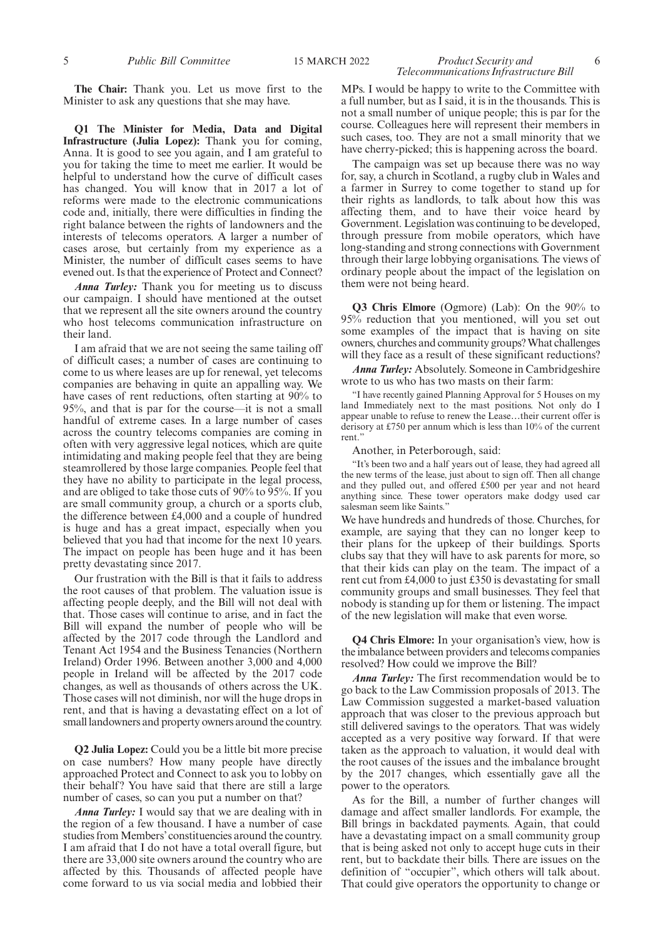**The Chair:** Thank you. Let us move first to the Minister to ask any questions that she may have.

**Q1 The Minister for Media, Data and Digital Infrastructure (Julia Lopez):** Thank you for coming, Anna. It is good to see you again, and I am grateful to you for taking the time to meet me earlier. It would be helpful to understand how the curve of difficult cases has changed. You will know that in 2017 a lot of reforms were made to the electronic communications code and, initially, there were difficulties in finding the right balance between the rights of landowners and the interests of telecoms operators. A larger a number of cases arose, but certainly from my experience as a Minister, the number of difficult cases seems to have evened out. Is that the experience of Protect and Connect?

*Anna Turley:* Thank you for meeting us to discuss our campaign. I should have mentioned at the outset that we represent all the site owners around the country who host telecoms communication infrastructure on their land.

I am afraid that we are not seeing the same tailing off of difficult cases; a number of cases are continuing to come to us where leases are up for renewal, yet telecoms companies are behaving in quite an appalling way. We have cases of rent reductions, often starting at 90% to 95%, and that is par for the course—it is not a small handful of extreme cases. In a large number of cases across the country telecoms companies are coming in often with very aggressive legal notices, which are quite intimidating and making people feel that they are being steamrollered by those large companies. People feel that they have no ability to participate in the legal process, and are obliged to take those cuts of 90% to 95%. If you are small community group, a church or a sports club, the difference between £4,000 and a couple of hundred is huge and has a great impact, especially when you believed that you had that income for the next 10 years. The impact on people has been huge and it has been pretty devastating since 2017.

Our frustration with the Bill is that it fails to address the root causes of that problem. The valuation issue is affecting people deeply, and the Bill will not deal with that. Those cases will continue to arise, and in fact the Bill will expand the number of people who will be affected by the 2017 code through the Landlord and Tenant Act 1954 and the Business Tenancies (Northern Ireland) Order 1996. Between another 3,000 and 4,000 people in Ireland will be affected by the 2017 code changes, as well as thousands of others across the UK. Those cases will not diminish, nor will the huge drops in rent, and that is having a devastating effect on a lot of small landowners and property owners around the country.

**Q2 Julia Lopez:** Could you be a little bit more precise on case numbers? How many people have directly approached Protect and Connect to ask you to lobby on their behalf? You have said that there are still a large number of cases, so can you put a number on that?

*Anna Turley:* I would say that we are dealing with in the region of a few thousand. I have a number of case studies from Members'constituencies around the country. I am afraid that I do not have a total overall figure, but there are 33,000 site owners around the country who are affected by this. Thousands of affected people have come forward to us via social media and lobbied their MPs. I would be happy to write to the Committee with a full number, but as I said, it is in the thousands. This is not a small number of unique people; this is par for the course. Colleagues here will represent their members in such cases, too. They are not a small minority that we have cherry-picked; this is happening across the board.

*Telecommunications Infrastructure Bill*

The campaign was set up because there was no way for, say, a church in Scotland, a rugby club in Wales and a farmer in Surrey to come together to stand up for their rights as landlords, to talk about how this was affecting them, and to have their voice heard by Government. Legislation was continuing to be developed, through pressure from mobile operators, which have long-standing and strong connections with Government through their large lobbying organisations. The views of ordinary people about the impact of the legislation on them were not being heard.

**Q3 Chris Elmore** (Ogmore) (Lab): On the 90% to 95% reduction that you mentioned, will you set out some examples of the impact that is having on site owners, churches and community groups? What challenges will they face as a result of these significant reductions?

*Anna Turley:* Absolutely. Someone in Cambridgeshire wrote to us who has two masts on their farm:

"I have recently gained Planning Approval for 5 Houses on my land Immediately next to the mast positions. Not only do I appear unable to refuse to renew the Lease…their current offer is derisory at £750 per annum which is less than 10% of the current rent."

Another, in Peterborough, said:

"It's been two and a half years out of lease, they had agreed all the new terms of the lease, just about to sign off. Then all change and they pulled out, and offered £500 per year and not heard anything since. These tower operators make dodgy used car salesman seem like Saints."

We have hundreds and hundreds of those. Churches, for example, are saying that they can no longer keep to their plans for the upkeep of their buildings. Sports clubs say that they will have to ask parents for more, so that their kids can play on the team. The impact of a rent cut from £4,000 to just £350 is devastating for small community groups and small businesses. They feel that nobody is standing up for them or listening. The impact of the new legislation will make that even worse.

**Q4 Chris Elmore:** In your organisation's view, how is the imbalance between providers and telecoms companies resolved? How could we improve the Bill?

*Anna Turley:* The first recommendation would be to go back to the Law Commission proposals of 2013. The Law Commission suggested a market-based valuation approach that was closer to the previous approach but still delivered savings to the operators. That was widely accepted as a very positive way forward. If that were taken as the approach to valuation, it would deal with the root causes of the issues and the imbalance brought by the 2017 changes, which essentially gave all the power to the operators.

As for the Bill, a number of further changes will damage and affect smaller landlords. For example, the Bill brings in backdated payments. Again, that could have a devastating impact on a small community group that is being asked not only to accept huge cuts in their rent, but to backdate their bills. There are issues on the definition of "occupier", which others will talk about. That could give operators the opportunity to change or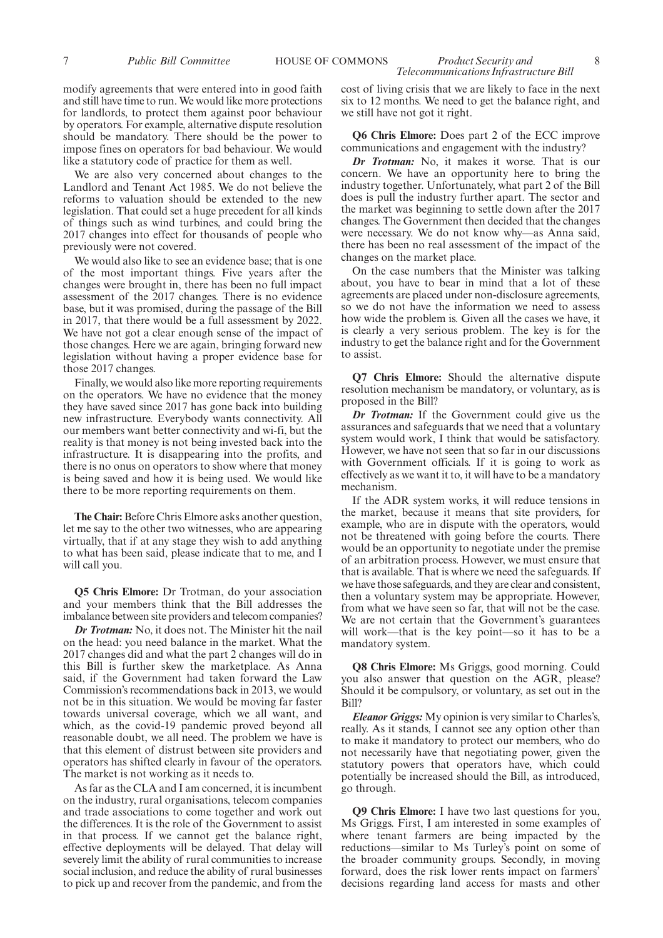7 *Public Bill Committee* HOUSE OF COMMONS *Product Security and* 8

modify agreements that were entered into in good faith and still have time to run. We would like more protections for landlords, to protect them against poor behaviour by operators. For example, alternative dispute resolution should be mandatory. There should be the power to impose fines on operators for bad behaviour. We would like a statutory code of practice for them as well.

We are also very concerned about changes to the Landlord and Tenant Act 1985. We do not believe the reforms to valuation should be extended to the new legislation. That could set a huge precedent for all kinds of things such as wind turbines, and could bring the 2017 changes into effect for thousands of people who previously were not covered.

We would also like to see an evidence base; that is one of the most important things. Five years after the changes were brought in, there has been no full impact assessment of the 2017 changes. There is no evidence base, but it was promised, during the passage of the Bill in 2017, that there would be a full assessment by 2022. We have not got a clear enough sense of the impact of those changes. Here we are again, bringing forward new legislation without having a proper evidence base for those 2017 changes.

Finally, we would also like more reporting requirements on the operators. We have no evidence that the money they have saved since 2017 has gone back into building new infrastructure. Everybody wants connectivity. All our members want better connectivity and wi-fi, but the reality is that money is not being invested back into the infrastructure. It is disappearing into the profits, and there is no onus on operators to show where that money is being saved and how it is being used. We would like there to be more reporting requirements on them.

**The Chair:** Before Chris Elmore asks another question, let me say to the other two witnesses, who are appearing virtually, that if at any stage they wish to add anything to what has been said, please indicate that to me, and I will call you.

**Q5 Chris Elmore:** Dr Trotman, do your association and your members think that the Bill addresses the imbalance between site providers and telecom companies?

*Dr Trotman:* No, it does not. The Minister hit the nail on the head: you need balance in the market. What the 2017 changes did and what the part 2 changes will do in this Bill is further skew the marketplace. As Anna said, if the Government had taken forward the Law Commission's recommendations back in 2013, we would not be in this situation. We would be moving far faster towards universal coverage, which we all want, and which, as the covid-19 pandemic proved beyond all reasonable doubt, we all need. The problem we have is that this element of distrust between site providers and operators has shifted clearly in favour of the operators. The market is not working as it needs to.

As far as the CLA and I am concerned, it is incumbent on the industry, rural organisations, telecom companies and trade associations to come together and work out the differences. It is the role of the Government to assist in that process. If we cannot get the balance right, effective deployments will be delayed. That delay will severely limit the ability of rural communities to increase social inclusion, and reduce the ability of rural businesses to pick up and recover from the pandemic, and from the

cost of living crisis that we are likely to face in the next six to 12 months. We need to get the balance right, and we still have not got it right.

*Telecommunications Infrastructure Bill*

**Q6 Chris Elmore:** Does part 2 of the ECC improve communications and engagement with the industry?

*Dr Trotman:* No, it makes it worse. That is our concern. We have an opportunity here to bring the industry together. Unfortunately, what part 2 of the Bill does is pull the industry further apart. The sector and the market was beginning to settle down after the 2017 changes. The Government then decided that the changes were necessary. We do not know why—as Anna said, there has been no real assessment of the impact of the changes on the market place.

On the case numbers that the Minister was talking about, you have to bear in mind that a lot of these agreements are placed under non-disclosure agreements, so we do not have the information we need to assess how wide the problem is. Given all the cases we have, it is clearly a very serious problem. The key is for the industry to get the balance right and for the Government to assist.

**Q7 Chris Elmore:** Should the alternative dispute resolution mechanism be mandatory, or voluntary, as is proposed in the Bill?

*Dr Trotman:* If the Government could give us the assurances and safeguards that we need that a voluntary system would work, I think that would be satisfactory. However, we have not seen that so far in our discussions with Government officials. If it is going to work as effectively as we want it to, it will have to be a mandatory mechanism.

If the ADR system works, it will reduce tensions in the market, because it means that site providers, for example, who are in dispute with the operators, would not be threatened with going before the courts. There would be an opportunity to negotiate under the premise of an arbitration process. However, we must ensure that that is available. That is where we need the safeguards. If we have those safeguards, and they are clear and consistent, then a voluntary system may be appropriate. However, from what we have seen so far, that will not be the case. We are not certain that the Government's guarantees will work—that is the key point—so it has to be a mandatory system.

**Q8 Chris Elmore:** Ms Griggs, good morning. Could you also answer that question on the AGR, please? Should it be compulsory, or voluntary, as set out in the Bill?

*Eleanor Griggs:* My opinion is very similar to Charles's, really. As it stands, I cannot see any option other than to make it mandatory to protect our members, who do not necessarily have that negotiating power, given the statutory powers that operators have, which could potentially be increased should the Bill, as introduced, go through.

**Q9 Chris Elmore:** I have two last questions for you, Ms Griggs. First, I am interested in some examples of where tenant farmers are being impacted by the reductions—similar to Ms Turley's point on some of the broader community groups. Secondly, in moving forward, does the risk lower rents impact on farmers' decisions regarding land access for masts and other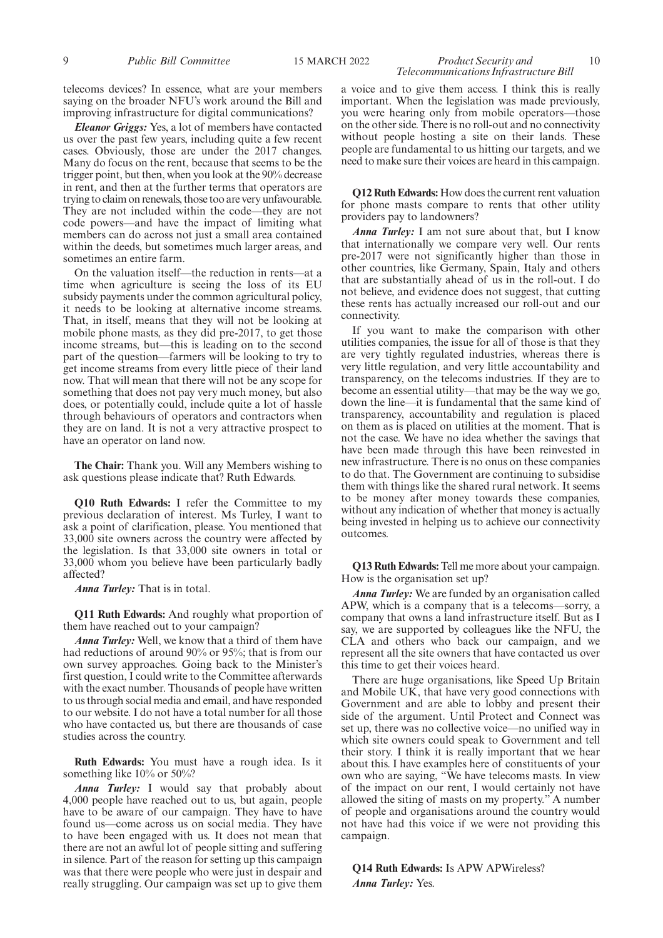telecoms devices? In essence, what are your members saying on the broader NFU's work around the Bill and improving infrastructure for digital communications?

*Eleanor Griggs:* Yes, a lot of members have contacted us over the past few years, including quite a few recent cases. Obviously, those are under the 2017 changes. Many do focus on the rent, because that seems to be the trigger point, but then, when you look at the 90% decrease in rent, and then at the further terms that operators are trying to claim on renewals, those too are very unfavourable. They are not included within the code—they are not code powers—and have the impact of limiting what members can do across not just a small area contained within the deeds, but sometimes much larger areas, and sometimes an entire farm.

On the valuation itself—the reduction in rents—at a time when agriculture is seeing the loss of its EU subsidy payments under the common agricultural policy, it needs to be looking at alternative income streams. That, in itself, means that they will not be looking at mobile phone masts, as they did pre-2017, to get those income streams, but—this is leading on to the second part of the question—farmers will be looking to try to get income streams from every little piece of their land now. That will mean that there will not be any scope for something that does not pay very much money, but also does, or potentially could, include quite a lot of hassle through behaviours of operators and contractors when they are on land. It is not a very attractive prospect to have an operator on land now.

**The Chair:** Thank you. Will any Members wishing to ask questions please indicate that? Ruth Edwards.

**Q10 Ruth Edwards:** I refer the Committee to my previous declaration of interest. Ms Turley, I want to ask a point of clarification, please. You mentioned that 33,000 site owners across the country were affected by the legislation. Is that 33,000 site owners in total or 33,000 whom you believe have been particularly badly affected?

*Anna Turley:* That is in total.

**Q11 Ruth Edwards:** And roughly what proportion of them have reached out to your campaign?

*Anna Turley:* Well, we know that a third of them have had reductions of around 90% or 95%; that is from our own survey approaches. Going back to the Minister's first question, I could write to the Committee afterwards with the exact number. Thousands of people have written to us through social media and email, and have responded to our website. I do not have a total number for all those who have contacted us, but there are thousands of case studies across the country.

**Ruth Edwards:** You must have a rough idea. Is it something like 10% or 50%?

*Anna Turley:* I would say that probably about 4,000 people have reached out to us, but again, people have to be aware of our campaign. They have to have found us—come across us on social media. They have to have been engaged with us. It does not mean that there are not an awful lot of people sitting and suffering in silence. Part of the reason for setting up this campaign was that there were people who were just in despair and really struggling. Our campaign was set up to give them

9 *Public Bill Committee* 15 MARCH 2022 *Product Security and* 10 *Telecommunications Infrastructure Bill*

> a voice and to give them access. I think this is really important. When the legislation was made previously, you were hearing only from mobile operators—those on the other side. There is no roll-out and no connectivity without people hosting a site on their lands. These people are fundamental to us hitting our targets, and we need to make sure their voices are heard in this campaign.

> **Q12 Ruth Edwards:** How does the current rent valuation for phone masts compare to rents that other utility providers pay to landowners?

> *Anna Turley:* I am not sure about that, but I know that internationally we compare very well. Our rents pre-2017 were not significantly higher than those in other countries, like Germany, Spain, Italy and others that are substantially ahead of us in the roll-out. I do not believe, and evidence does not suggest, that cutting these rents has actually increased our roll-out and our connectivity.

> If you want to make the comparison with other utilities companies, the issue for all of those is that they are very tightly regulated industries, whereas there is very little regulation, and very little accountability and transparency, on the telecoms industries. If they are to become an essential utility—that may be the way we go, down the line—it is fundamental that the same kind of transparency, accountability and regulation is placed on them as is placed on utilities at the moment. That is not the case. We have no idea whether the savings that have been made through this have been reinvested in new infrastructure. There is no onus on these companies to do that. The Government are continuing to subsidise them with things like the shared rural network. It seems to be money after money towards these companies, without any indication of whether that money is actually being invested in helping us to achieve our connectivity outcomes.

> **Q13 Ruth Edwards:** Tell me more about your campaign. How is the organisation set up?

> *Anna Turley:* We are funded by an organisation called APW, which is a company that is a telecoms—sorry, a company that owns a land infrastructure itself. But as I say, we are supported by colleagues like the NFU, the CLA and others who back our campaign, and we represent all the site owners that have contacted us over this time to get their voices heard.

> There are huge organisations, like Speed Up Britain and Mobile UK, that have very good connections with Government and are able to lobby and present their side of the argument. Until Protect and Connect was set up, there was no collective voice—no unified way in which site owners could speak to Government and tell their story. I think it is really important that we hear about this. I have examples here of constituents of your own who are saying, "We have telecoms masts. In view of the impact on our rent, I would certainly not have allowed the siting of masts on my property." A number of people and organisations around the country would not have had this voice if we were not providing this campaign.

**Q14 Ruth Edwards:** Is APW APWireless? *Anna Turley:* Yes.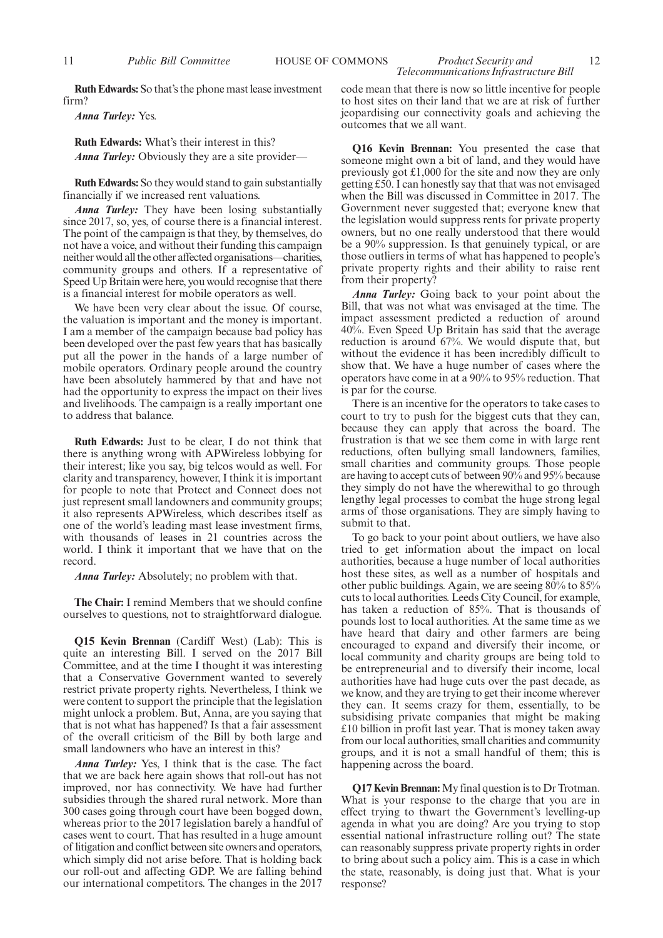**Ruth Edwards:** So that's the phone mast lease investment firm?

*Anna Turley:* Yes.

**Ruth Edwards:** What's their interest in this? *Anna Turley:* Obviously they are a site provider—

**Ruth Edwards:** So they would stand to gain substantially financially if we increased rent valuations.

*Anna Turley:* They have been losing substantially since 2017, so, yes, of course there is a financial interest. The point of the campaign is that they, by themselves, do not have a voice, and without their funding this campaign neither would all the other affected organisations—charities, community groups and others. If a representative of Speed Up Britain were here, you would recognise that there is a financial interest for mobile operators as well.

We have been very clear about the issue. Of course, the valuation is important and the money is important. I am a member of the campaign because bad policy has been developed over the past few years that has basically put all the power in the hands of a large number of mobile operators. Ordinary people around the country have been absolutely hammered by that and have not had the opportunity to express the impact on their lives and livelihoods. The campaign is a really important one to address that balance.

**Ruth Edwards:** Just to be clear, I do not think that there is anything wrong with APWireless lobbying for their interest; like you say, big telcos would as well. For clarity and transparency, however, I think it is important for people to note that Protect and Connect does not just represent small landowners and community groups; it also represents APWireless, which describes itself as one of the world's leading mast lease investment firms, with thousands of leases in 21 countries across the world. I think it important that we have that on the record.

*Anna Turley:* Absolutely; no problem with that.

**The Chair:** I remind Members that we should confine ourselves to questions, not to straightforward dialogue.

**Q15 Kevin Brennan** (Cardiff West) (Lab): This is quite an interesting Bill. I served on the 2017 Bill Committee, and at the time I thought it was interesting that a Conservative Government wanted to severely restrict private property rights. Nevertheless, I think we were content to support the principle that the legislation might unlock a problem. But, Anna, are you saying that that is not what has happened? Is that a fair assessment of the overall criticism of the Bill by both large and small landowners who have an interest in this?

*Anna Turley:* Yes, I think that is the case. The fact that we are back here again shows that roll-out has not improved, nor has connectivity. We have had further subsidies through the shared rural network. More than 300 cases going through court have been bogged down, whereas prior to the 2017 legislation barely a handful of cases went to court. That has resulted in a huge amount of litigation and conflict between site owners and operators, which simply did not arise before. That is holding back our roll-out and affecting GDP. We are falling behind our international competitors. The changes in the 2017

code mean that there is now so little incentive for people to host sites on their land that we are at risk of further jeopardising our connectivity goals and achieving the outcomes that we all want.

**Q16 Kevin Brennan:** You presented the case that someone might own a bit of land, and they would have previously got £1,000 for the site and now they are only getting £50. I can honestly say that that was not envisaged when the Bill was discussed in Committee in 2017. The Government never suggested that; everyone knew that the legislation would suppress rents for private property owners, but no one really understood that there would be a 90% suppression. Is that genuinely typical, or are those outliers in terms of what has happened to people's private property rights and their ability to raise rent from their property?

*Anna Turley:* Going back to your point about the Bill, that was not what was envisaged at the time. The impact assessment predicted a reduction of around 40%. Even Speed Up Britain has said that the average reduction is around 67%. We would dispute that, but without the evidence it has been incredibly difficult to show that. We have a huge number of cases where the operators have come in at a 90% to 95% reduction. That is par for the course.

There is an incentive for the operators to take cases to court to try to push for the biggest cuts that they can, because they can apply that across the board. The frustration is that we see them come in with large rent reductions, often bullying small landowners, families, small charities and community groups. Those people are having to accept cuts of between 90% and 95% because they simply do not have the wherewithal to go through lengthy legal processes to combat the huge strong legal arms of those organisations. They are simply having to submit to that.

To go back to your point about outliers, we have also tried to get information about the impact on local authorities, because a huge number of local authorities host these sites, as well as a number of hospitals and other public buildings. Again, we are seeing 80% to 85% cuts to local authorities. Leeds City Council, for example, has taken a reduction of 85%. That is thousands of pounds lost to local authorities. At the same time as we have heard that dairy and other farmers are being encouraged to expand and diversify their income, or local community and charity groups are being told to be entrepreneurial and to diversify their income, local authorities have had huge cuts over the past decade, as we know, and they are trying to get their income wherever they can. It seems crazy for them, essentially, to be subsidising private companies that might be making £10 billion in profit last year. That is money taken away from our local authorities, small charities and community groups, and it is not a small handful of them; this is happening across the board.

**Q17 Kevin Brennan:**My final question is to Dr Trotman. What is your response to the charge that you are in effect trying to thwart the Government's levelling-up agenda in what you are doing? Are you trying to stop essential national infrastructure rolling out? The state can reasonably suppress private property rights in order to bring about such a policy aim. This is a case in which the state, reasonably, is doing just that. What is your response?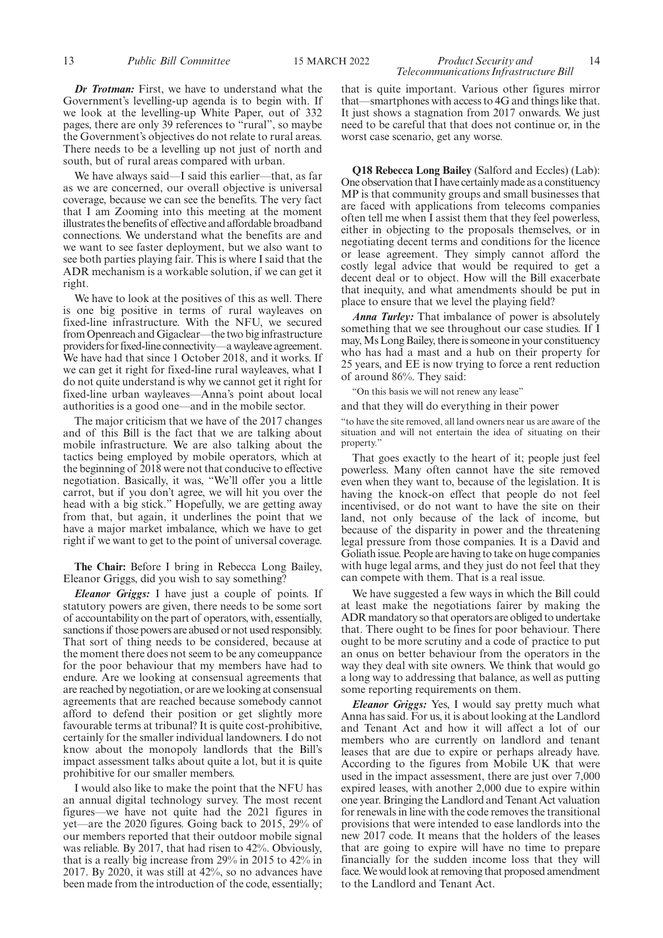*Dr Trotman:* First, we have to understand what the Government's levelling-up agenda is to begin with. If we look at the levelling-up White Paper, out of 332 pages, there are only 39 references to "rural", so maybe the Government's objectives do not relate to rural areas. There needs to be a levelling up not just of north and south, but of rural areas compared with urban.

We have always said—I said this earlier—that, as far as we are concerned, our overall objective is universal coverage, because we can see the benefits. The very fact that I am Zooming into this meeting at the moment illustrates the benefits of effective and affordable broadband connections. We understand what the benefits are and we want to see faster deployment, but we also want to see both parties playing fair. This is where I said that the ADR mechanism is a workable solution, if we can get it right.

We have to look at the positives of this as well. There is one big positive in terms of rural wayleaves on fixed-line infrastructure. With the NFU, we secured from Openreach and Gigaclear—the two big infrastructure providers for fixed-line connectivity—a wayleave agreement. We have had that since 1 October 2018, and it works. If we can get it right for fixed-line rural wayleaves, what I do not quite understand is why we cannot get it right for fixed-line urban wayleaves—Anna's point about local authorities is a good one—and in the mobile sector.

The major criticism that we have of the 2017 changes and of this Bill is the fact that we are talking about mobile infrastructure. We are also talking about the tactics being employed by mobile operators, which at the beginning of 2018 were not that conducive to effective negotiation. Basically, it was, "We'll offer you a little carrot, but if you don't agree, we will hit you over the head with a big stick." Hopefully, we are getting away from that, but again, it underlines the point that we have a major market imbalance, which we have to get right if we want to get to the point of universal coverage.

**The Chair:** Before I bring in Rebecca Long Bailey, Eleanor Griggs, did you wish to say something?

*Eleanor Griggs:* I have just a couple of points. If statutory powers are given, there needs to be some sort of accountability on the part of operators, with, essentially, sanctions if those powers are abused or not used responsibly. That sort of thing needs to be considered, because at the moment there does not seem to be any comeuppance for the poor behaviour that my members have had to endure. Are we looking at consensual agreements that are reached by negotiation, or are we looking at consensual agreements that are reached because somebody cannot afford to defend their position or get slightly more favourable terms at tribunal? It is quite cost-prohibitive, certainly for the smaller individual landowners. I do not know about the monopoly landlords that the Bill's impact assessment talks about quite a lot, but it is quite prohibitive for our smaller members.

I would also like to make the point that the NFU has an annual digital technology survey. The most recent figures—we have not quite had the 2021 figures in yet—are the 2020 figures. Going back to 2015, 29% of our members reported that their outdoor mobile signal was reliable. By 2017, that had risen to 42%. Obviously, that is a really big increase from 29% in 2015 to 42% in 2017. By 2020, it was still at 42%, so no advances have been made from the introduction of the code, essentially; that is quite important. Various other figures mirror that—smartphones with access to 4G and things like that. It just shows a stagnation from 2017 onwards. We just need to be careful that that does not continue or, in the worst case scenario, get any worse.

**Q18 Rebecca Long Bailey** (Salford and Eccles) (Lab): One observation that I have certainly made as a constituency MP is that community groups and small businesses that are faced with applications from telecoms companies often tell me when I assist them that they feel powerless, either in objecting to the proposals themselves, or in negotiating decent terms and conditions for the licence or lease agreement. They simply cannot afford the costly legal advice that would be required to get a decent deal or to object. How will the Bill exacerbate that inequity, and what amendments should be put in place to ensure that we level the playing field?

*Anna Turley:* That imbalance of power is absolutely something that we see throughout our case studies. If I may, Ms Long Bailey, there is someone in your constituency who has had a mast and a hub on their property for 25 years, and EE is now trying to force a rent reduction of around 86%. They said:

"On this basis we will not renew any lease"

and that they will do everything in their power

"to have the site removed, all land owners near us are aware of the situation and will not entertain the idea of situating on their property."

That goes exactly to the heart of it; people just feel powerless. Many often cannot have the site removed even when they want to, because of the legislation. It is having the knock-on effect that people do not feel incentivised, or do not want to have the site on their land, not only because of the lack of income, but because of the disparity in power and the threatening legal pressure from those companies. It is a David and Goliath issue. People are having to take on huge companies with huge legal arms, and they just do not feel that they can compete with them. That is a real issue.

We have suggested a few ways in which the Bill could at least make the negotiations fairer by making the ADR mandatory so that operators are obliged to undertake that. There ought to be fines for poor behaviour. There ought to be more scrutiny and a code of practice to put an onus on better behaviour from the operators in the way they deal with site owners. We think that would go a long way to addressing that balance, as well as putting some reporting requirements on them.

*Eleanor Griggs:* Yes, I would say pretty much what Anna has said. For us, it is about looking at the Landlord and Tenant Act and how it will affect a lot of our members who are currently on landlord and tenant leases that are due to expire or perhaps already have. According to the figures from Mobile UK that were used in the impact assessment, there are just over 7,000 expired leases, with another 2,000 due to expire within one year. Bringing the Landlord and Tenant Act valuation for renewals in line with the code removes the transitional provisions that were intended to ease landlords into the new 2017 code. It means that the holders of the leases that are going to expire will have no time to prepare financially for the sudden income loss that they will face. We would look at removing that proposed amendment to the Landlord and Tenant Act.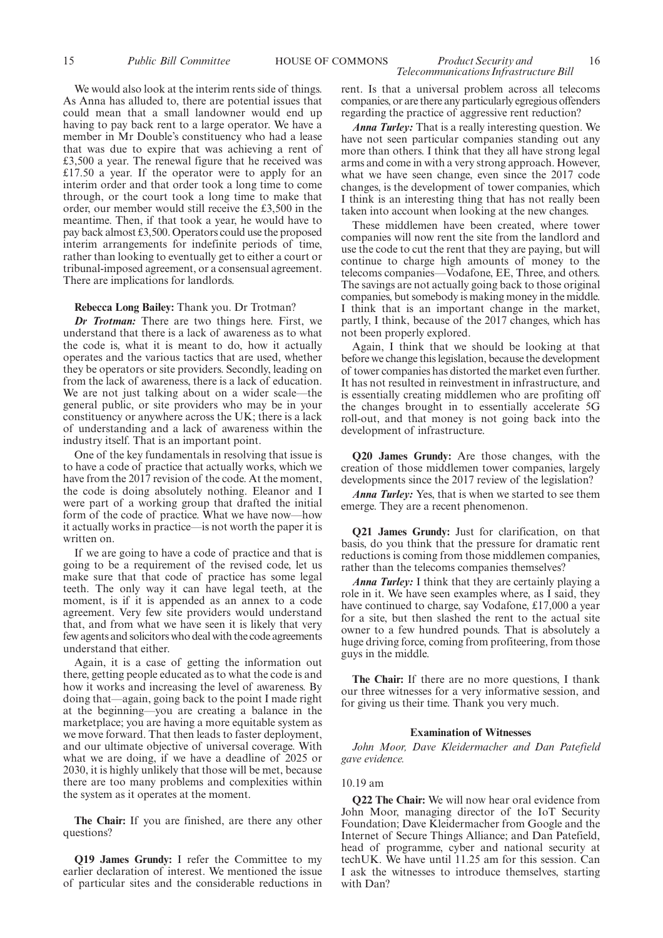#### 15 *Public Bill Committee* HOUSE OF COMMONS *Product Security and* 16 *Telecommunications Infrastructure Bill*

We would also look at the interim rents side of things. As Anna has alluded to, there are potential issues that could mean that a small landowner would end up having to pay back rent to a large operator. We have a member in Mr Double's constituency who had a lease that was due to expire that was achieving a rent of £3,500 a year. The renewal figure that he received was £17.50 a year. If the operator were to apply for an interim order and that order took a long time to come through, or the court took a long time to make that order, our member would still receive the £3,500 in the meantime. Then, if that took a year, he would have to pay back almost £3,500. Operators could use the proposed interim arrangements for indefinite periods of time, rather than looking to eventually get to either a court or tribunal-imposed agreement, or a consensual agreement. There are implications for landlords.

#### **Rebecca Long Bailey:** Thank you. Dr Trotman?

*Dr Trotman:* There are two things here. First, we understand that there is a lack of awareness as to what the code is, what it is meant to do, how it actually operates and the various tactics that are used, whether they be operators or site providers. Secondly, leading on from the lack of awareness, there is a lack of education. We are not just talking about on a wider scale—the general public, or site providers who may be in your constituency or anywhere across the UK; there is a lack of understanding and a lack of awareness within the industry itself. That is an important point.

One of the key fundamentals in resolving that issue is to have a code of practice that actually works, which we have from the 2017 revision of the code. At the moment, the code is doing absolutely nothing. Eleanor and I were part of a working group that drafted the initial form of the code of practice. What we have now—how it actually works in practice—is not worth the paper it is written on.

If we are going to have a code of practice and that is going to be a requirement of the revised code, let us make sure that that code of practice has some legal teeth. The only way it can have legal teeth, at the moment, is if it is appended as an annex to a code agreement. Very few site providers would understand that, and from what we have seen it is likely that very few agents and solicitors who deal with the code agreements understand that either.

Again, it is a case of getting the information out there, getting people educated as to what the code is and how it works and increasing the level of awareness. By doing that—again, going back to the point I made right at the beginning—you are creating a balance in the marketplace; you are having a more equitable system as we move forward. That then leads to faster deployment, and our ultimate objective of universal coverage. With what we are doing, if we have a deadline of 2025 or 2030, it is highly unlikely that those will be met, because there are too many problems and complexities within the system as it operates at the moment.

**The Chair:** If you are finished, are there any other questions?

**Q19 James Grundy:** I refer the Committee to my earlier declaration of interest. We mentioned the issue of particular sites and the considerable reductions in rent. Is that a universal problem across all telecoms companies, or are there any particularly egregious offenders regarding the practice of aggressive rent reduction?

*Anna Turley:* That is a really interesting question. We have not seen particular companies standing out any more than others. I think that they all have strong legal arms and come in with a very strong approach. However, what we have seen change, even since the 2017 code changes, is the development of tower companies, which I think is an interesting thing that has not really been taken into account when looking at the new changes.

These middlemen have been created, where tower companies will now rent the site from the landlord and use the code to cut the rent that they are paying, but will continue to charge high amounts of money to the telecoms companies—Vodafone, EE, Three, and others. The savings are not actually going back to those original companies, but somebody is making money in the middle. I think that is an important change in the market, partly, I think, because of the 2017 changes, which has not been properly explored.

Again, I think that we should be looking at that before we change this legislation, because the development of tower companies has distorted the market even further. It has not resulted in reinvestment in infrastructure, and is essentially creating middlemen who are profiting off the changes brought in to essentially accelerate 5G roll-out, and that money is not going back into the development of infrastructure.

**Q20 James Grundy:** Are those changes, with the creation of those middlemen tower companies, largely developments since the 2017 review of the legislation?

*Anna Turley:* Yes, that is when we started to see them emerge. They are a recent phenomenon.

**Q21 James Grundy:** Just for clarification, on that basis, do you think that the pressure for dramatic rent reductions is coming from those middlemen companies, rather than the telecoms companies themselves?

*Anna Turley:* I think that they are certainly playing a role in it. We have seen examples where, as I said, they have continued to charge, say Vodafone, £17,000 a year for a site, but then slashed the rent to the actual site owner to a few hundred pounds. That is absolutely a huge driving force, coming from profiteering, from those guys in the middle.

**The Chair:** If there are no more questions, I thank our three witnesses for a very informative session, and for giving us their time. Thank you very much.

#### **Examination of Witnesses**

*John Moor, Dave Kleidermacher and Dan Patefield gave evidence.*

#### 10.19 am

**Q22 The Chair:** We will now hear oral evidence from John Moor, managing director of the IoT Security Foundation; Dave Kleidermacher from Google and the Internet of Secure Things Alliance; and Dan Patefield, head of programme, cyber and national security at techUK. We have until 11.25 am for this session. Can I ask the witnesses to introduce themselves, starting with Dan?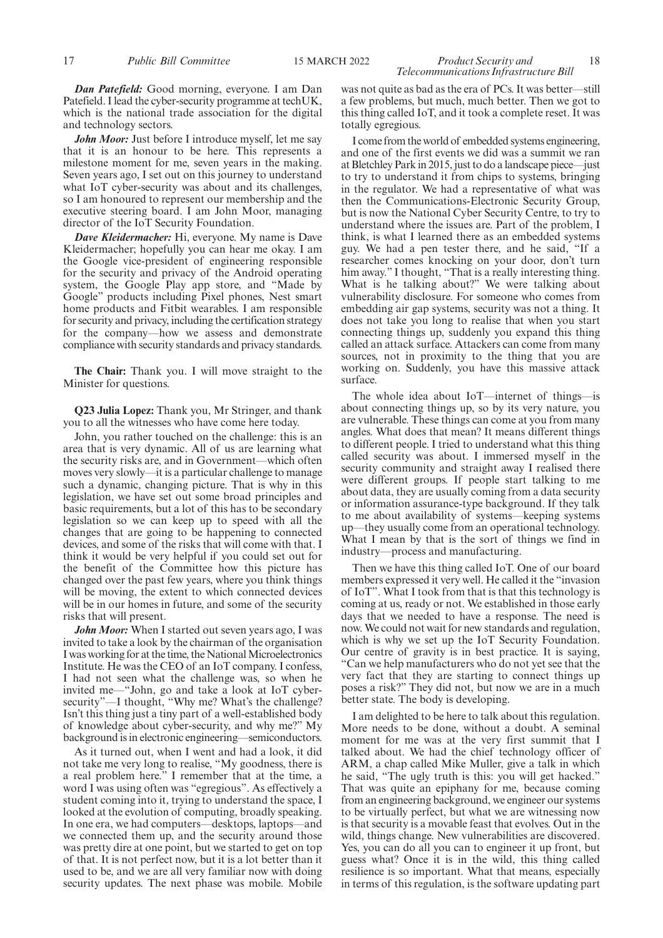#### *Dan Patefield:* Good morning, everyone. I am Dan Patefield. I lead the cyber-security programme at techUK, which is the national trade association for the digital and technology sectors.

*John Moor:* Just before I introduce myself, let me say that it is an honour to be here. This represents a milestone moment for me, seven years in the making. Seven years ago, I set out on this journey to understand what IoT cyber-security was about and its challenges, so I am honoured to represent our membership and the executive steering board. I am John Moor, managing director of the IoT Security Foundation.

*Dave Kleidermacher:* Hi, everyone. My name is Dave Kleidermacher; hopefully you can hear me okay. I am the Google vice-president of engineering responsible for the security and privacy of the Android operating system, the Google Play app store, and "Made by Google" products including Pixel phones, Nest smart home products and Fitbit wearables. I am responsible for security and privacy, including the certification strategy for the company—how we assess and demonstrate compliance with security standards and privacy standards.

**The Chair:** Thank you. I will move straight to the Minister for questions.

**Q23 Julia Lopez:** Thank you, Mr Stringer, and thank you to all the witnesses who have come here today.

John, you rather touched on the challenge: this is an area that is very dynamic. All of us are learning what the security risks are, and in Government—which often moves very slowly—it is a particular challenge to manage such a dynamic, changing picture. That is why in this legislation, we have set out some broad principles and basic requirements, but a lot of this has to be secondary legislation so we can keep up to speed with all the changes that are going to be happening to connected devices, and some of the risks that will come with that. I think it would be very helpful if you could set out for the benefit of the Committee how this picture has changed over the past few years, where you think things will be moving, the extent to which connected devices will be in our homes in future, and some of the security risks that will present.

*John Moor:* When I started out seven years ago, I was invited to take a look by the chairman of the organisation I was working for at the time, the National Microelectronics Institute. He was the CEO of an IoT company. I confess, I had not seen what the challenge was, so when he invited me—"John, go and take a look at IoT cybersecurity"—I thought, "Why me? What's the challenge? Isn't this thing just a tiny part of a well-established body of knowledge about cyber-security, and why me?" My background is in electronic engineering—semiconductors.

As it turned out, when I went and had a look, it did not take me very long to realise, "My goodness, there is a real problem here." I remember that at the time, a word I was using often was "egregious". As effectively a student coming into it, trying to understand the space, I looked at the evolution of computing, broadly speaking. In one era, we had computers—desktops, laptops—and we connected them up, and the security around those was pretty dire at one point, but we started to get on top of that. It is not perfect now, but it is a lot better than it used to be, and we are all very familiar now with doing security updates. The next phase was mobile. Mobile

was not quite as bad as the era of PCs. It was better—still a few problems, but much, much better. Then we got to this thing called IoT, and it took a complete reset. It was totally egregious.

I come from the world of embedded systems engineering, and one of the first events we did was a summit we ran at Bletchley Park in 2015, just to do a landscape piece—just to try to understand it from chips to systems, bringing in the regulator. We had a representative of what was then the Communications-Electronic Security Group, but is now the National Cyber Security Centre, to try to understand where the issues are. Part of the problem, I think, is what I learned there as an embedded systems guy. We had a pen tester there, and he said, "If a researcher comes knocking on your door, don't turn him away." I thought, "That is a really interesting thing. What is he talking about?" We were talking about vulnerability disclosure. For someone who comes from embedding air gap systems, security was not a thing. It does not take you long to realise that when you start connecting things up, suddenly you expand this thing called an attack surface. Attackers can come from many sources, not in proximity to the thing that you are working on. Suddenly, you have this massive attack surface.

The whole idea about IoT—internet of things—is about connecting things up, so by its very nature, you are vulnerable. These things can come at you from many angles. What does that mean? It means different things to different people. I tried to understand what this thing called security was about. I immersed myself in the security community and straight away I realised there were different groups. If people start talking to me about data, they are usually coming from a data security or information assurance-type background. If they talk to me about availability of systems—keeping systems up—they usually come from an operational technology. What I mean by that is the sort of things we find in industry—process and manufacturing.

Then we have this thing called IoT. One of our board members expressed it very well. He called it the "invasion of IoT". What I took from that is that this technology is coming at us, ready or not. We established in those early days that we needed to have a response. The need is now. We could not wait for new standards and regulation, which is why we set up the IoT Security Foundation. Our centre of gravity is in best practice. It is saying, "Can we help manufacturers who do not yet see that the very fact that they are starting to connect things up poses a risk?" They did not, but now we are in a much better state. The body is developing.

I am delighted to be here to talk about this regulation. More needs to be done, without a doubt. A seminal moment for me was at the very first summit that I talked about. We had the chief technology officer of ARM, a chap called Mike Muller, give a talk in which he said, "The ugly truth is this: you will get hacked." That was quite an epiphany for me, because coming from an engineering background, we engineer our systems to be virtually perfect, but what we are witnessing now is that security is a movable feast that evolves. Out in the wild, things change. New vulnerabilities are discovered. Yes, you can do all you can to engineer it up front, but guess what? Once it is in the wild, this thing called resilience is so important. What that means, especially in terms of this regulation, is the software updating part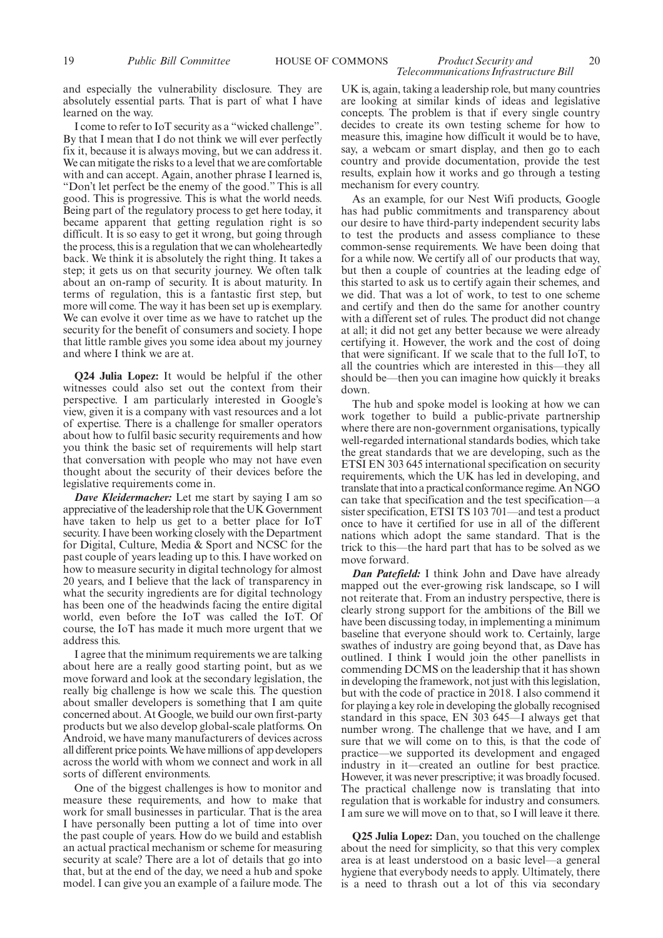and especially the vulnerability disclosure. They are absolutely essential parts. That is part of what I have learned on the way.

I come to refer to IoT security as a "wicked challenge". By that I mean that I do not think we will ever perfectly fix it, because it is always moving, but we can address it. We can mitigate the risks to a level that we are comfortable with and can accept. Again, another phrase I learned is, "Don't let perfect be the enemy of the good." This is all good. This is progressive. This is what the world needs. Being part of the regulatory process to get here today, it became apparent that getting regulation right is so difficult. It is so easy to get it wrong, but going through the process, this is a regulation that we can wholeheartedly back. We think it is absolutely the right thing. It takes a step; it gets us on that security journey. We often talk about an on-ramp of security. It is about maturity. In terms of regulation, this is a fantastic first step, but more will come. The way it has been set up is exemplary. We can evolve it over time as we have to ratchet up the security for the benefit of consumers and society. I hope that little ramble gives you some idea about my journey and where I think we are at.

**Q24 Julia Lopez:** It would be helpful if the other witnesses could also set out the context from their perspective. I am particularly interested in Google's view, given it is a company with vast resources and a lot of expertise. There is a challenge for smaller operators about how to fulfil basic security requirements and how you think the basic set of requirements will help start that conversation with people who may not have even thought about the security of their devices before the legislative requirements come in.

*Dave Kleidermacher:* Let me start by saying I am so appreciative of the leadership role that the UK Government have taken to help us get to a better place for IoT security. I have been working closely with the Department for Digital, Culture, Media & Sport and NCSC for the past couple of years leading up to this. I have worked on how to measure security in digital technology for almost 20 years, and I believe that the lack of transparency in what the security ingredients are for digital technology has been one of the headwinds facing the entire digital world, even before the IoT was called the IoT. Of course, the IoT has made it much more urgent that we address this.

I agree that the minimum requirements we are talking about here are a really good starting point, but as we move forward and look at the secondary legislation, the really big challenge is how we scale this. The question about smaller developers is something that I am quite concerned about. At Google, we build our own first-party products but we also develop global-scale platforms. On Android, we have many manufacturers of devices across all different price points. We have millions of app developers across the world with whom we connect and work in all sorts of different environments.

One of the biggest challenges is how to monitor and measure these requirements, and how to make that work for small businesses in particular. That is the area I have personally been putting a lot of time into over the past couple of years. How do we build and establish an actual practical mechanism or scheme for measuring security at scale? There are a lot of details that go into that, but at the end of the day, we need a hub and spoke model. I can give you an example of a failure mode. The

UK is, again, taking a leadership role, but many countries are looking at similar kinds of ideas and legislative concepts. The problem is that if every single country decides to create its own testing scheme for how to measure this, imagine how difficult it would be to have, say, a webcam or smart display, and then go to each country and provide documentation, provide the test results, explain how it works and go through a testing mechanism for every country.

*Telecommunications Infrastructure Bill*

As an example, for our Nest Wifi products, Google has had public commitments and transparency about our desire to have third-party independent security labs to test the products and assess compliance to these common-sense requirements. We have been doing that for a while now. We certify all of our products that way, but then a couple of countries at the leading edge of this started to ask us to certify again their schemes, and we did. That was a lot of work, to test to one scheme and certify and then do the same for another country with a different set of rules. The product did not change at all; it did not get any better because we were already certifying it. However, the work and the cost of doing that were significant. If we scale that to the full IoT, to all the countries which are interested in this—they all should be—then you can imagine how quickly it breaks down.

The hub and spoke model is looking at how we can work together to build a public-private partnership where there are non-government organisations, typically well-regarded international standards bodies, which take the great standards that we are developing, such as the ETSI EN 303 645 international specification on security requirements, which the UK has led in developing, and translate that into a practical conformance regime. An NGO can take that specification and the test specification—a sister specification, ETSI TS 103 701—and test a product once to have it certified for use in all of the different nations which adopt the same standard. That is the trick to this—the hard part that has to be solved as we move forward.

*Dan Patefield:* I think John and Dave have already mapped out the ever-growing risk landscape, so I will not reiterate that. From an industry perspective, there is clearly strong support for the ambitions of the Bill we have been discussing today, in implementing a minimum baseline that everyone should work to. Certainly, large swathes of industry are going beyond that, as Dave has outlined. I think I would join the other panellists in commending DCMS on the leadership that it has shown in developing the framework, not just with this legislation, but with the code of practice in 2018. I also commend it for playing a key role in developing the globally recognised standard in this space, EN 303 645—I always get that number wrong. The challenge that we have, and I am sure that we will come on to this, is that the code of practice—we supported its development and engaged industry in it—created an outline for best practice. However, it was never prescriptive; it was broadly focused. The practical challenge now is translating that into regulation that is workable for industry and consumers. I am sure we will move on to that, so I will leave it there.

**Q25 Julia Lopez:** Dan, you touched on the challenge about the need for simplicity, so that this very complex area is at least understood on a basic level—a general hygiene that everybody needs to apply. Ultimately, there is a need to thrash out a lot of this via secondary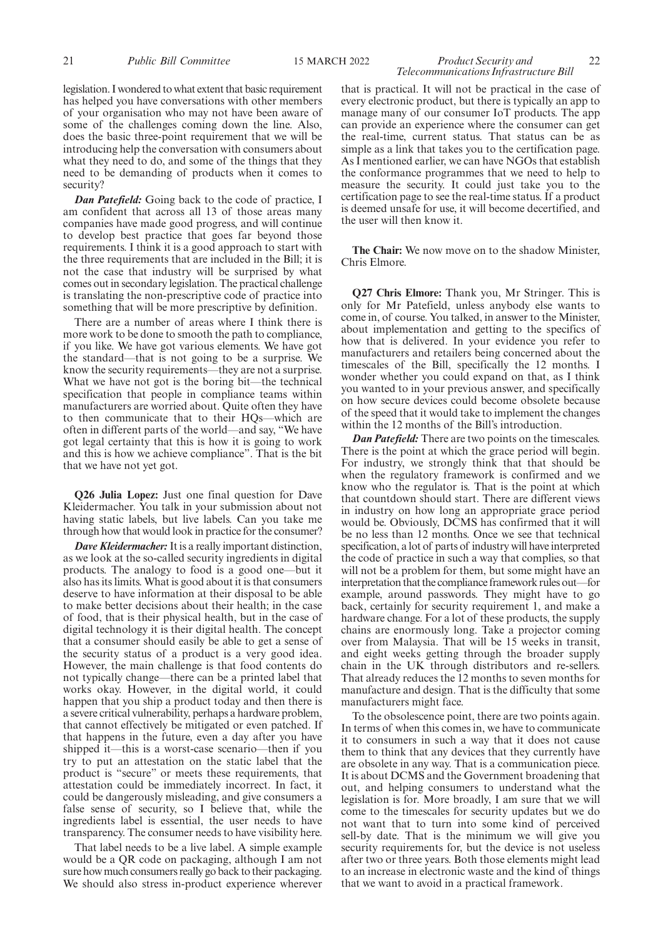legislation. I wondered to what extent that basic requirement has helped you have conversations with other members of your organisation who may not have been aware of some of the challenges coming down the line. Also, does the basic three-point requirement that we will be introducing help the conversation with consumers about what they need to do, and some of the things that they need to be demanding of products when it comes to security?

*Dan Patefield:* Going back to the code of practice, I am confident that across all 13 of those areas many companies have made good progress, and will continue to develop best practice that goes far beyond those requirements. I think it is a good approach to start with the three requirements that are included in the Bill; it is not the case that industry will be surprised by what comes out in secondary legislation. The practical challenge is translating the non-prescriptive code of practice into something that will be more prescriptive by definition.

There are a number of areas where I think there is more work to be done to smooth the path to compliance, if you like. We have got various elements. We have got the standard—that is not going to be a surprise. We know the security requirements—they are not a surprise. What we have not got is the boring bit—the technical specification that people in compliance teams within manufacturers are worried about. Quite often they have to then communicate that to their HQs—which are often in different parts of the world—and say, "We have got legal certainty that this is how it is going to work and this is how we achieve compliance". That is the bit that we have not yet got.

**Q26 Julia Lopez:** Just one final question for Dave Kleidermacher. You talk in your submission about not having static labels, but live labels. Can you take me through how that would look in practice for the consumer?

*Dave Kleidermacher:*It is a really important distinction, as we look at the so-called security ingredients in digital products. The analogy to food is a good one—but it also has its limits. What is good about it is that consumers deserve to have information at their disposal to be able to make better decisions about their health; in the case of food, that is their physical health, but in the case of digital technology it is their digital health. The concept that a consumer should easily be able to get a sense of the security status of a product is a very good idea. However, the main challenge is that food contents do not typically change—there can be a printed label that works okay. However, in the digital world, it could happen that you ship a product today and then there is a severe critical vulnerability, perhaps a hardware problem, that cannot effectively be mitigated or even patched. If that happens in the future, even a day after you have shipped it—this is a worst-case scenario—then if you try to put an attestation on the static label that the product is "secure" or meets these requirements, that attestation could be immediately incorrect. In fact, it could be dangerously misleading, and give consumers a false sense of security, so I believe that, while the ingredients label is essential, the user needs to have transparency. The consumer needs to have visibility here.

That label needs to be a live label. A simple example would be a QR code on packaging, although I am not sure how much consumers really go back to their packaging. We should also stress in-product experience wherever

#### 21 *Public Bill Committee* 15 MARCH 2022 *Product Security and* 22 *Telecommunications Infrastructure Bill*

that is practical. It will not be practical in the case of every electronic product, but there is typically an app to manage many of our consumer IoT products. The app can provide an experience where the consumer can get the real-time, current status. That status can be as simple as a link that takes you to the certification page. As I mentioned earlier, we can have NGOs that establish the conformance programmes that we need to help to measure the security. It could just take you to the certification page to see the real-time status. If a product is deemed unsafe for use, it will become decertified, and the user will then know it.

**The Chair:** We now move on to the shadow Minister, Chris Elmore.

**Q27 Chris Elmore:** Thank you, Mr Stringer. This is only for Mr Patefield, unless anybody else wants to come in, of course. You talked, in answer to the Minister, about implementation and getting to the specifics of how that is delivered. In your evidence you refer to manufacturers and retailers being concerned about the timescales of the Bill, specifically the 12 months. I wonder whether you could expand on that, as I think you wanted to in your previous answer, and specifically on how secure devices could become obsolete because of the speed that it would take to implement the changes within the 12 months of the Bill's introduction.

*Dan Patefield:* There are two points on the timescales. There is the point at which the grace period will begin. For industry, we strongly think that that should be when the regulatory framework is confirmed and we know who the regulator is. That is the point at which that countdown should start. There are different views in industry on how long an appropriate grace period would be. Obviously, DCMS has confirmed that it will be no less than 12 months. Once we see that technical specification, a lot of parts of industry will have interpreted the code of practice in such a way that complies, so that will not be a problem for them, but some might have an interpretation that the compliance framework rules out—for example, around passwords. They might have to go back, certainly for security requirement 1, and make a hardware change. For a lot of these products, the supply chains are enormously long. Take a projector coming over from Malaysia. That will be 15 weeks in transit, and eight weeks getting through the broader supply chain in the UK through distributors and re-sellers. That already reduces the 12 months to seven months for manufacture and design. That is the difficulty that some manufacturers might face.

To the obsolescence point, there are two points again. In terms of when this comes in, we have to communicate it to consumers in such a way that it does not cause them to think that any devices that they currently have are obsolete in any way. That is a communication piece. It is about DCMS and the Government broadening that out, and helping consumers to understand what the legislation is for. More broadly, I am sure that we will come to the timescales for security updates but we do not want that to turn into some kind of perceived sell-by date. That is the minimum we will give you security requirements for, but the device is not useless after two or three years. Both those elements might lead to an increase in electronic waste and the kind of things that we want to avoid in a practical framework.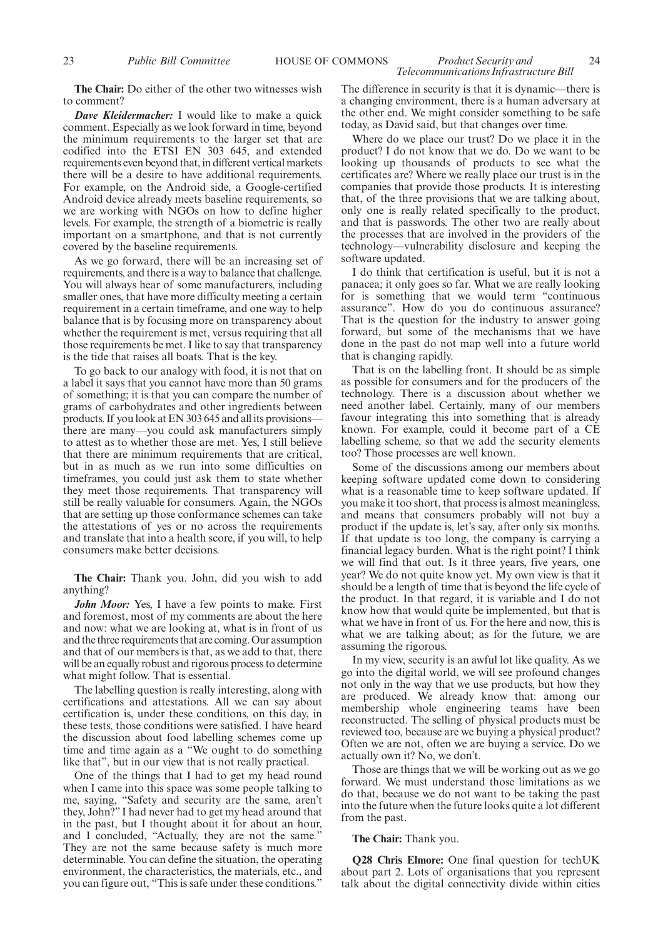**The Chair:** Do either of the other two witnesses wish to comment?

*Dave Kleidermacher:* I would like to make a quick comment. Especially as we look forward in time, beyond the minimum requirements to the larger set that are codified into the ETSI EN 303 645, and extended requirements even beyond that, in different vertical markets there will be a desire to have additional requirements. For example, on the Android side, a Google-certified Android device already meets baseline requirements, so we are working with NGOs on how to define higher levels. For example, the strength of a biometric is really important on a smartphone, and that is not currently covered by the baseline requirements.

As we go forward, there will be an increasing set of requirements, and there is a way to balance that challenge. You will always hear of some manufacturers, including smaller ones, that have more difficulty meeting a certain requirement in a certain timeframe, and one way to help balance that is by focusing more on transparency about whether the requirement is met, versus requiring that all those requirements be met. I like to say that transparency is the tide that raises all boats. That is the key.

To go back to our analogy with food, it is not that on a label it says that you cannot have more than 50 grams of something; it is that you can compare the number of grams of carbohydrates and other ingredients between products. If you look at EN 303 645 and all its provisions there are many—you could ask manufacturers simply to attest as to whether those are met. Yes, I still believe that there are minimum requirements that are critical, but in as much as we run into some difficulties on timeframes, you could just ask them to state whether they meet those requirements. That transparency will still be really valuable for consumers. Again, the NGOs that are setting up those conformance schemes can take the attestations of yes or no across the requirements and translate that into a health score, if you will, to help consumers make better decisions.

**The Chair:** Thank you. John, did you wish to add anything?

*John Moor:* Yes, I have a few points to make. First and foremost, most of my comments are about the here and now: what we are looking at, what is in front of us and the three requirements that are coming. Our assumption and that of our members is that, as we add to that, there will be an equally robust and rigorous process to determine what might follow. That is essential.

The labelling question is really interesting, along with certifications and attestations. All we can say about certification is, under these conditions, on this day, in these tests, those conditions were satisfied. I have heard the discussion about food labelling schemes come up time and time again as a "We ought to do something like that", but in our view that is not really practical.

One of the things that I had to get my head round when I came into this space was some people talking to me, saying, "Safety and security are the same, aren't they, John?" I had never had to get my head around that in the past, but I thought about it for about an hour, and I concluded, "Actually, they are not the same." They are not the same because safety is much more determinable. You can define the situation, the operating environment, the characteristics, the materials, etc., and you can figure out, "This is safe under these conditions." The difference in security is that it is dynamic—there is a changing environment, there is a human adversary at the other end. We might consider something to be safe today, as David said, but that changes over time.

Where do we place our trust? Do we place it in the product? I do not know that we do. Do we want to be looking up thousands of products to see what the certificates are? Where we really place our trust is in the companies that provide those products. It is interesting that, of the three provisions that we are talking about, only one is really related specifically to the product, and that is passwords. The other two are really about the processes that are involved in the providers of the technology—vulnerability disclosure and keeping the software updated.

I do think that certification is useful, but it is not a panacea; it only goes so far. What we are really looking for is something that we would term "continuous assurance". How do you do continuous assurance? That is the question for the industry to answer going forward, but some of the mechanisms that we have done in the past do not map well into a future world that is changing rapidly.

That is on the labelling front. It should be as simple as possible for consumers and for the producers of the technology. There is a discussion about whether we need another label. Certainly, many of our members favour integrating this into something that is already known. For example, could it become part of a CE labelling scheme, so that we add the security elements too? Those processes are well known.

Some of the discussions among our members about keeping software updated come down to considering what is a reasonable time to keep software updated. If you make it too short, that process is almost meaningless, and means that consumers probably will not buy a product if the update is, let's say, after only six months. If that update is too long, the company is carrying a financial legacy burden. What is the right point? I think we will find that out. Is it three years, five years, one year? We do not quite know yet. My own view is that it should be a length of time that is beyond the life cycle of the product. In that regard, it is variable and I do not know how that would quite be implemented, but that is what we have in front of us. For the here and now, this is what we are talking about; as for the future, we are assuming the rigorous.

In my view, security is an awful lot like quality. As we go into the digital world, we will see profound changes not only in the way that we use products, but how they are produced. We already know that: among our membership whole engineering teams have been reconstructed. The selling of physical products must be reviewed too, because are we buying a physical product? Often we are not, often we are buying a service. Do we actually own it? No, we don't.

Those are things that we will be working out as we go forward. We must understand those limitations as we do that, because we do not want to be taking the past into the future when the future looks quite a lot different from the past.

#### **The Chair:** Thank you.

**Q28 Chris Elmore:** One final question for techUK about part 2. Lots of organisations that you represent talk about the digital connectivity divide within cities